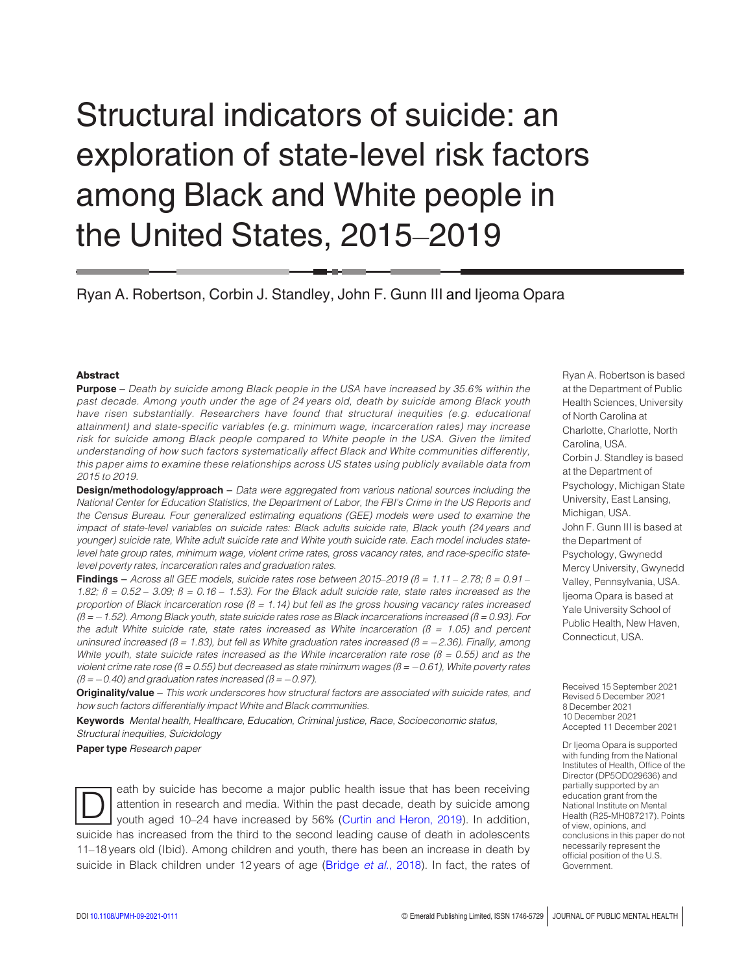# Structural indicators of suicide: an exploration of state-level risk factors among Black and White people in the United States, 2015–2019

Ryan A. Robertson, Corbin J. Standley, John F. Gunn III and Ijeoma Opara

#### Abstract

**Purpose** – Death by suicide among Black people in the USA have increased by 35.6% within the past decade. Among youth under the age of 24 years old, death by suicide among Black youth have risen substantially. Researchers have found that structural inequities (e.g. educational attainment) and state-specific variables (e.g. minimum wage, incarceration rates) may increase risk for suicide among Black people compared to White people in the USA. Given the limited understanding of how such factors systematically affect Black and White communities differently, this paper aims to examine these relationships across US states using publicly available data from 2015 to 2019.

**Design/methodology/approach** – Data were aggregated from various national sources including the National Center for Education Statistics, the Department of Labor, the FBI's Crime in the US Reports and the Census Bureau. Four generalized estimating equations (GEE) models were used to examine the impact of state-level variables on suicide rates: Black adults suicide rate, Black youth (24 years and younger) suicide rate, White adult suicide rate and White youth suicide rate. Each model includes statelevel hate group rates, minimum wage, violent crime rates, gross vacancy rates, and race-specific statelevel poverty rates, incarceration rates and graduation rates.

Findings – Across all GEE models, suicide rates rose between 2015–2019 ( $\beta$  = 1.11 – 2.78;  $\beta$  = 0.91 – 1.82;  $\beta = 0.52 - 3.09$ ;  $\beta = 0.16 - 1.53$ ). For the Black adult suicide rate, state rates increased as the proportion of Black incarceration rose  $(\beta = 1.14)$  but fell as the gross housing vacancy rates increased  $(\beta = -1.52)$ . Among Black youth, state suicide rates rose as Black incarcerations increased ( $\beta = 0.93$ ). For the adult White suicide rate, state rates increased as White incarceration ( $\beta$  = 1.05) and percent uninsured increased ( $\beta$  = 1.83), but fell as White graduation rates increased ( $\beta$  = -2.36). Finally, among White youth, state suicide rates increased as the White incarceration rate rose ( $\beta$  = 0.55) and as the violent crime rate rose ( $\beta$  = 0.55) but decreased as state minimum wages ( $\beta$  = -0.61), White poverty rates  $(\beta = -0.40)$  and graduation rates increased ( $\beta = -0.97$ ).

Originality/value - This work underscores how structural factors are associated with suicide rates, and how such factors differentially impact White and Black communities.

Keywords Mental health, Healthcare, Education, Criminal justice, Race, Socioeconomic status, Structural inequities, Suicidology

Paper type Research paper

eath by suicide has become a major public health issue that has been receiving<br>
youth aged 10-24 have increased by 56% [\(Curtin and Heron, 2019\)](#page-9-0). In addition, attention in research and media. Within the past decade, death by suicide among suicide has increased from the third to the second leading cause of death in adolescents 11–18 years old (Ibid). Among children and youth, there has been an increase in death by suicide in Black children under 12 years of age [\(Bridge](#page-9-1) et al., 2018). In fact, the rates of Ryan A. Robertson is based at the Department of Public Health Sciences, University of North Carolina at Charlotte, Charlotte, North Carolina, USA. Corbin J. Standley is based at the Department of Psychology, Michigan State University, East Lansing, Michigan, USA. John F. Gunn III is based at the Department of Psychology, Gwynedd Mercy University, Gwynedd Valley, Pennsylvania, USA. Ijeoma Opara is based at Yale University School of Public Health, New Haven, Connecticut, USA.

Received 15 September 2021 Revised 5 December 2021 8 December 2021 10 December 2021 Accepted 11 December 2021

Dr Ijeoma Opara is supported with funding from the National Institutes of Health, Office of the Director (DP5OD029636) and partially supported by an education grant from the National Institute on Mental Health (R25-MH087217). Points of view, opinions, and conclusions in this paper do not necessarily represent the official position of the U.S. Government.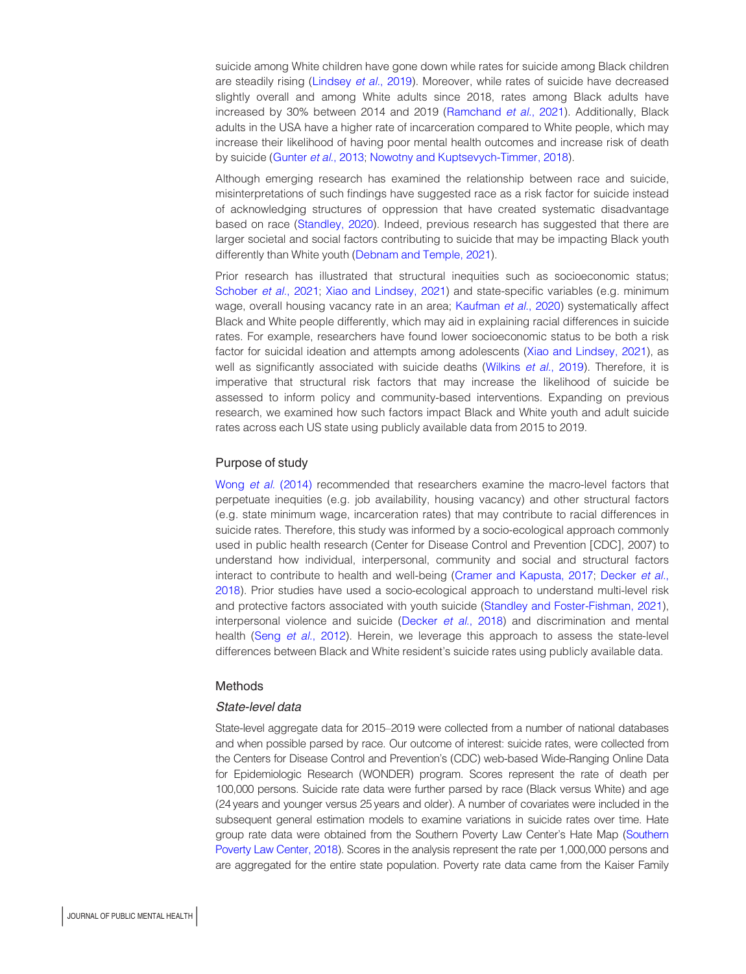suicide among White children have gone down while rates for suicide among Black children are steadily rising [\(Lindsey](#page-10-0) et al., 2019). Moreover, while rates of suicide have decreased slightly overall and among White adults since 2018, rates among Black adults have increased by 30% between 2014 and 2019 ([Ramchand](#page-10-1) et al., 2021). Additionally, Black adults in the USA have a higher rate of incarceration compared to White people, which may increase their likelihood of having poor mental health outcomes and increase risk of death by suicide ([Gunter](#page-10-2) et al., 2013; [Nowotny and Kuptsevych-Timmer, 2018](#page-10-3)).

Although emerging research has examined the relationship between race and suicide, misinterpretations of such findings have suggested race as a risk factor for suicide instead of acknowledging structures of oppression that have created systematic disadvantage based on race ([Standley, 2020\)](#page-11-0). Indeed, previous research has suggested that there are larger societal and social factors contributing to suicide that may be impacting Black youth differently than White youth ([Debnam and Temple, 2021\)](#page-9-2).

Prior research has illustrated that structural inequities such as socioeconomic status; [Schober](#page-11-1) et al., 2021; [Xiao and Lindsey, 2021\)](#page-11-2) and state-specific variables (e.g. minimum wage, overall housing vacancy rate in an area; [Kaufman](#page-10-4) et al., 2020) systematically affect Black and White people differently, which may aid in explaining racial differences in suicide rates. For example, researchers have found lower socioeconomic status to be both a risk factor for suicidal ideation and attempts among adolescents ([Xiao and Lindsey, 2021](#page-11-2)), as well as significantly associated with suicide deaths ([Wilkins](#page-11-3) et al., 2019). Therefore, it is imperative that structural risk factors that may increase the likelihood of suicide be assessed to inform policy and community-based interventions. Expanding on previous research, we examined how such factors impact Black and White youth and adult suicide rates across each US state using publicly available data from 2015 to 2019.

#### Purpose of study

Wong et al. [\(2014\)](#page-11-4) recommended that researchers examine the macro-level factors that perpetuate inequities (e.g. job availability, housing vacancy) and other structural factors (e.g. state minimum wage, incarceration rates) that may contribute to racial differences in suicide rates. Therefore, this study was informed by a socio-ecological approach commonly used in public health research (Center for Disease Control and Prevention [CDC], 2007) to understand how individual, interpersonal, community and social and structural factors interact to contribute to health and well-being [\(Cramer and Kapusta, 2017](#page-9-3); [Decker](#page-9-4) et al., [2018\)](#page-9-4). Prior studies have used a socio-ecological approach to understand multi-level risk and protective factors associated with youth suicide ([Standley and Foster-Fishman, 2021\)](#page-11-5), interpersonal violence and suicide ([Decker](#page-9-4) et al., 2018) and discrimination and mental health (Seng et al.[, 2012\)](#page-11-6). Herein, we leverage this approach to assess the state-level differences between Black and White resident's suicide rates using publicly available data.

#### Methods

## State-level data

State-level aggregate data for 2015–2019 were collected from a number of national databases and when possible parsed by race. Our outcome of interest: suicide rates, were collected from the Centers for Disease Control and Prevention's (CDC) web-based Wide-Ranging Online Data for Epidemiologic Research (WONDER) program. Scores represent the rate of death per 100,000 persons. Suicide rate data were further parsed by race (Black versus White) and age (24 years and younger versus 25 years and older). A number of covariates were included in the subsequent general estimation models to examine variations in suicide rates over time. Hate group rate data were obtained from the Southern Poverty Law Center's Hate Map [\(Southern](#page-11-7) [Poverty Law Center, 2018\)](#page-11-7). Scores in the analysis represent the rate per 1,000,000 persons and are aggregated for the entire state population. Poverty rate data came from the Kaiser Family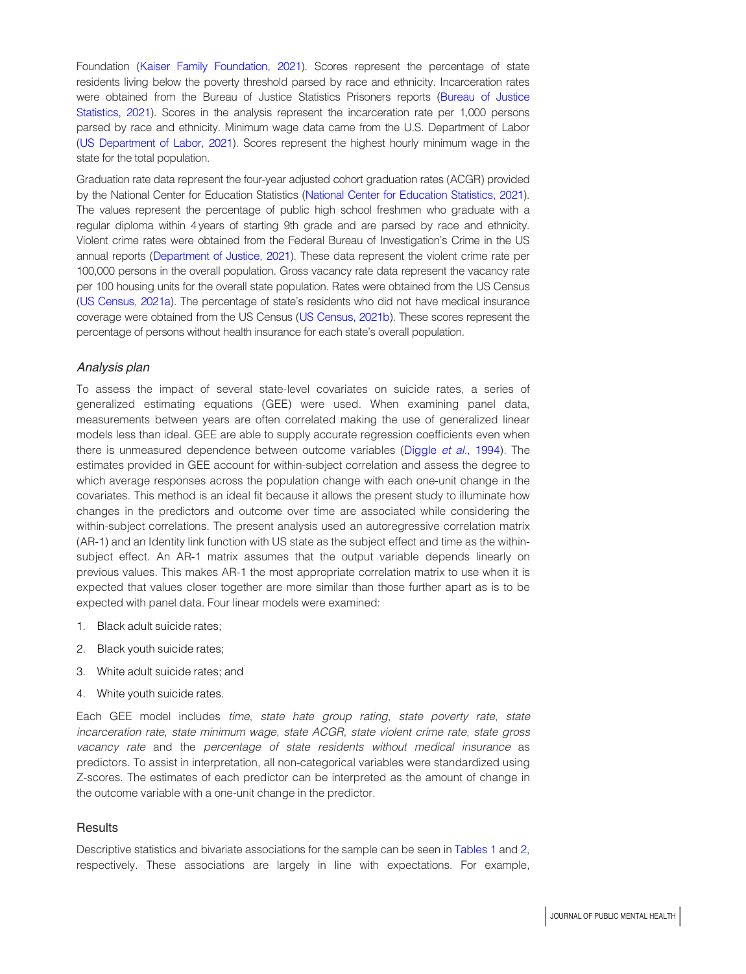Foundation ([Kaiser Family Foundation, 2021](#page-10-5)). Scores represent the percentage of state residents living below the poverty threshold parsed by race and ethnicity. Incarceration rates were obtained from the Bureau of Justice Statistics Prisoners reports ([Bureau of Justice](#page-9-5) [Statistics, 2021\)](#page-9-5). Scores in the analysis represent the incarceration rate per 1,000 persons parsed by race and ethnicity. Minimum wage data came from the U.S. Department of Labor ([US Department of Labor, 2021](#page-11-8)). Scores represent the highest hourly minimum wage in the state for the total population.

Graduation rate data represent the four-year adjusted cohort graduation rates (ACGR) provided by the National Center for Education Statistics [\(National Center for Education Statistics, 2021\)](#page-10-6). The values represent the percentage of public high school freshmen who graduate with a regular diploma within 4 years of starting 9th grade and are parsed by race and ethnicity. Violent crime rates were obtained from the Federal Bureau of Investigation's Crime in the US annual reports [\(Department of Justice, 2021\)](#page-9-6). These data represent the violent crime rate per 100,000 persons in the overall population. Gross vacancy rate data represent the vacancy rate per 100 housing units for the overall state population. Rates were obtained from the US Census ([US Census, 2021a\)](#page-11-9). The percentage of state's residents who did not have medical insurance coverage were obtained from the US Census [\(US Census, 2021b\)](#page-11-10). These scores represent the percentage of persons without health insurance for each state's overall population.

# Analysis plan

To assess the impact of several state-level covariates on suicide rates, a series of generalized estimating equations (GEE) were used. When examining panel data, measurements between years are often correlated making the use of generalized linear models less than ideal. GEE are able to supply accurate regression coefficients even when there is unmeasured dependence between outcome variables [\(Diggle](#page-9-7) et al., 1994). The estimates provided in GEE account for within-subject correlation and assess the degree to which average responses across the population change with each one-unit change in the covariates. This method is an ideal fit because it allows the present study to illuminate how changes in the predictors and outcome over time are associated while considering the within-subject correlations. The present analysis used an autoregressive correlation matrix (AR-1) and an Identity link function with US state as the subject effect and time as the withinsubject effect. An AR-1 matrix assumes that the output variable depends linearly on previous values. This makes AR-1 the most appropriate correlation matrix to use when it is expected that values closer together are more similar than those further apart as is to be expected with panel data. Four linear models were examined:

- 1. Black adult suicide rates;
- 2. Black youth suicide rates;
- 3. White adult suicide rates; and
- 4. White youth suicide rates.

Each GEE model includes time, state hate group rating, state poverty rate, state incarceration rate, state minimum wage, state ACGR, state violent crime rate, state gross vacancy rate and the percentage of state residents without medical insurance as predictors. To assist in interpretation, all non-categorical variables were standardized using Z-scores. The estimates of each predictor can be interpreted as the amount of change in the outcome variable with a one-unit change in the predictor.

#### **Results**

Descriptive statistics and bivariate associations for the sample can be seen in [Tables 1](#page-3-0) and [2](#page-4-0), respectively. These associations are largely in line with expectations. For example,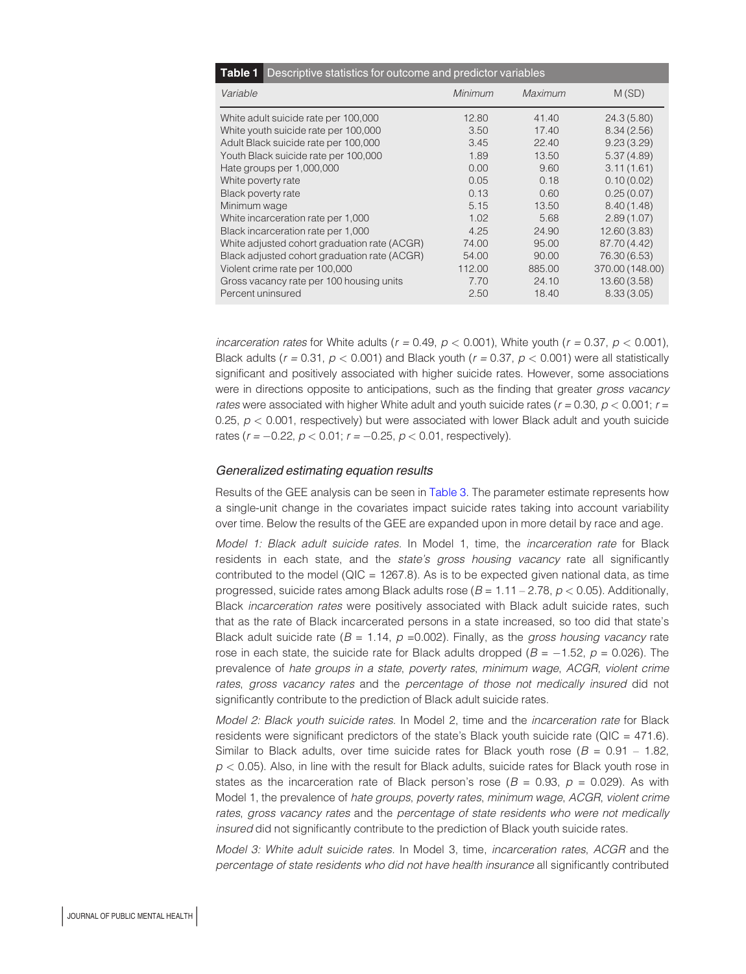<span id="page-3-0"></span>

| Descriptive statistics for outcome and predictor variables<br>Table 1 |         |         |                 |
|-----------------------------------------------------------------------|---------|---------|-----------------|
| Variable                                                              | Minimum | Maximum | M(SD)           |
| White adult suicide rate per 100,000                                  | 12.80   | 41.40   | 24.3 (5.80)     |
| White youth suicide rate per 100,000                                  | 3.50    | 17.40   | 8.34(2.56)      |
| Adult Black suicide rate per 100,000                                  | 3.45    | 22.40   | 9.23(3.29)      |
| Youth Black suicide rate per 100,000                                  | 1.89    | 13.50   | 5.37(4.89)      |
| Hate groups per 1,000,000                                             | 0.00    | 9.60    | 3.11(1.61)      |
| White poverty rate                                                    | 0.05    | 0.18    | 0.10(0.02)      |
| Black poverty rate                                                    | 0.13    | 0.60    | 0.25(0.07)      |
| Minimum wage                                                          | 5.15    | 13.50   | 8.40(1.48)      |
| White incarceration rate per 1,000                                    | 1.02    | 5.68    | 2.89(1.07)      |
| Black incarceration rate per 1,000                                    | 4.25    | 24.90   | 12.60(3.83)     |
| White adjusted cohort graduation rate (ACGR)                          | 74.00   | 95.00   | 87.70 (4.42)    |
| Black adjusted cohort graduation rate (ACGR)                          | 54.00   | 90.00   | 76.30 (6.53)    |
| Violent crime rate per 100,000                                        | 112.00  | 885.00  | 370.00 (148.00) |
| Gross vacancy rate per 100 housing units                              | 7.70    | 24.10   | 13.60 (3.58)    |
| Percent uninsured                                                     | 2.50    | 18.40   | 8.33(3.05)      |

incarceration rates for White adults ( $r = 0.49$ ,  $p < 0.001$ ), White youth ( $r = 0.37$ ,  $p < 0.001$ ), Black adults ( $r = 0.31$ ,  $p < 0.001$ ) and Black youth ( $r = 0.37$ ,  $p < 0.001$ ) were all statistically significant and positively associated with higher suicide rates. However, some associations were in directions opposite to anticipations, such as the finding that greater gross vacancy rates were associated with higher White adult and youth suicide rates ( $r = 0.30$ ,  $p < 0.001$ ;  $r =$ 0.25,  $p < 0.001$ , respectively) but were associated with lower Black adult and youth suicide rates ( $r = -0.22$ ,  $p < 0.01$ ;  $r = -0.25$ ,  $p < 0.01$ , respectively).

#### Generalized estimating equation results

Results of the GEE analysis can be seen in [Table 3](#page-5-0). The parameter estimate represents how a single-unit change in the covariates impact suicide rates taking into account variability over time. Below the results of the GEE are expanded upon in more detail by race and age.

Model 1: Black adult suicide rates. In Model 1, time, the incarceration rate for Black residents in each state, and the state's gross housing vacancy rate all significantly contributed to the model ( $QIC = 1267.8$ ). As is to be expected given national data, as time progressed, suicide rates among Black adults rose ( $B = 1.11 - 2.78$ ,  $p < 0.05$ ). Additionally, Black incarceration rates were positively associated with Black adult suicide rates, such that as the rate of Black incarcerated persons in a state increased, so too did that state's Black adult suicide rate ( $B = 1.14$ ,  $p = 0.002$ ). Finally, as the gross housing vacancy rate rose in each state, the suicide rate for Black adults dropped ( $B = -1.52$ ,  $p = 0.026$ ). The prevalence of hate groups in a state, poverty rates, minimum wage, ACGR, violent crime rates, gross vacancy rates and the percentage of those not medically insured did not significantly contribute to the prediction of Black adult suicide rates.

Model 2: Black youth suicide rates. In Model 2, time and the incarceration rate for Black residents were significant predictors of the state's Black youth suicide rate (QIC = 471.6). Similar to Black adults, over time suicide rates for Black youth rose ( $B = 0.91 - 1.82$ ,  $p < 0.05$ ). Also, in line with the result for Black adults, suicide rates for Black youth rose in states as the incarceration rate of Black person's rose ( $B = 0.93$ ,  $p = 0.029$ ). As with Model 1, the prevalence of hate groups, poverty rates, minimum wage, ACGR, violent crime rates, gross vacancy rates and the percentage of state residents who were not medically insured did not significantly contribute to the prediction of Black youth suicide rates.

Model 3: White adult suicide rates. In Model 3, time, incarceration rates, ACGR and the percentage of state residents who did not have health insurance all significantly contributed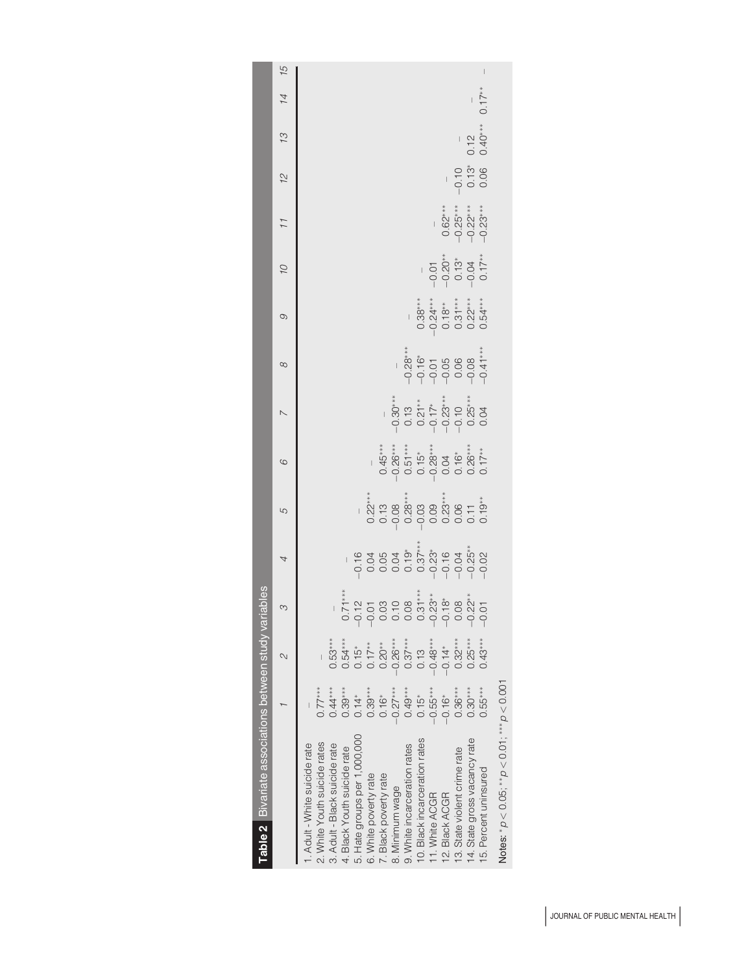<span id="page-4-0"></span>

|                                                              |            | 2                                 | $\infty$ | $\overline{4}$ | 5 | $\circ$ | $\overline{a}$ | $\infty$ | $\circ$                                                                                                                                                                                                                                                                                                                                               | 01                                                                                                                                                                                                                                                                                                                                | 11 | 12                       | 13                  | 14       | $\frac{61}{2}$ |
|--------------------------------------------------------------|------------|-----------------------------------|----------|----------------|---|---------|----------------|----------|-------------------------------------------------------------------------------------------------------------------------------------------------------------------------------------------------------------------------------------------------------------------------------------------------------------------------------------------------------|-----------------------------------------------------------------------------------------------------------------------------------------------------------------------------------------------------------------------------------------------------------------------------------------------------------------------------------|----|--------------------------|---------------------|----------|----------------|
| . Adult - White suicide rate                                 |            |                                   |          |                |   |         |                |          |                                                                                                                                                                                                                                                                                                                                                       |                                                                                                                                                                                                                                                                                                                                   |    |                          |                     |          |                |
| 2. White Youth suicide rates                                 | $0.77***$  |                                   |          |                |   |         |                |          |                                                                                                                                                                                                                                                                                                                                                       |                                                                                                                                                                                                                                                                                                                                   |    |                          |                     |          |                |
| 3. Adult - Black suicide rate                                | $0.44***$  | $0.53***$                         |          |                |   |         |                |          |                                                                                                                                                                                                                                                                                                                                                       |                                                                                                                                                                                                                                                                                                                                   |    |                          |                     |          |                |
| 4. Black Youth suicide rate                                  | $0.39***$  | $0.54***$                         |          |                |   |         |                |          |                                                                                                                                                                                                                                                                                                                                                       |                                                                                                                                                                                                                                                                                                                                   |    |                          |                     |          |                |
| 5. Hate groups per 1,000,000                                 | $0.14*$    | $0.15$ <sup>*</sup><br>0.17       |          |                |   |         |                |          |                                                                                                                                                                                                                                                                                                                                                       |                                                                                                                                                                                                                                                                                                                                   |    |                          |                     |          |                |
| 6. White poverty rate                                        | $0.39***$  |                                   |          |                |   |         |                |          |                                                                                                                                                                                                                                                                                                                                                       |                                                                                                                                                                                                                                                                                                                                   |    |                          |                     |          |                |
| 7. Black poverty rate                                        | $0.16*$    | $0.20**$                          |          |                |   |         |                |          |                                                                                                                                                                                                                                                                                                                                                       |                                                                                                                                                                                                                                                                                                                                   |    |                          |                     |          |                |
| 8. Minimum wage                                              | $-0.27***$ |                                   |          |                |   |         |                |          |                                                                                                                                                                                                                                                                                                                                                       |                                                                                                                                                                                                                                                                                                                                   |    |                          |                     |          |                |
| 9. White incarceration rates                                 | $0.49***$  | $-0.26***$<br>$0.37***$<br>$0.13$ |          |                |   |         |                |          |                                                                                                                                                                                                                                                                                                                                                       |                                                                                                                                                                                                                                                                                                                                   |    |                          |                     |          |                |
| 10. Black incarceration rates                                | $0.15*$    |                                   |          |                |   |         |                |          |                                                                                                                                                                                                                                                                                                                                                       |                                                                                                                                                                                                                                                                                                                                   |    |                          |                     |          |                |
| 11. White ACGR                                               | $-0.55***$ | $-0.48***$                        |          |                |   |         |                |          |                                                                                                                                                                                                                                                                                                                                                       |                                                                                                                                                                                                                                                                                                                                   |    |                          |                     |          |                |
| 12. Black ACGR                                               | $-0.16*$   | $-0.14*$                          |          |                |   |         |                |          | $\begin{array}{c} 0.38^{***} \\ -0.34^{***} \\ -0.74^{***} \\ -0.50 \\ -0.00 \\ -0.00 \\ -0.00 \\ -0.00 \\ -0.00 \\ -0.00 \\ -0.00 \\ -0.00 \\ -0.00 \\ -0.00 \\ -0.00 \\ -0.00 \\ -0.00 \\ -0.00 \\ -0.00 \\ -0.00 \\ -0.00 \\ -0.00 \\ -0.00 \\ -0.00 \\ -0.00 \\ -0.00 \\ -0.00 \\ -0.00 \\ -0.00 \\ -0.00 \\ -0.00 \\ -0.00 \\ -0.00 \\ -0.00 \\$ | $\begin{array}{r} 0.01 \\ -0.204 \\ -0.010 \\ -0.010 \\ -0.010 \\ -0.010 \\ -0.010 \\ -0.010 \\ -0.010 \\ -0.010 \\ -0.010 \\ -0.010 \\ -0.010 \\ -0.010 \\ -0.010 \\ -0.010 \\ -0.010 \\ -0.010 \\ -0.010 \\ -0.010 \\ -0.010 \\ -0.010 \\ -0.010 \\ -0.010 \\ -0.010 \\ -0.010 \\ -0.010 \\ -0.010 \\ -0.010 \\ -0.010 \\ -0.0$ |    |                          |                     |          |                |
| 13. State violent crime rate                                 | $0.36***$  | $0.32***$                         |          |                |   |         |                |          |                                                                                                                                                                                                                                                                                                                                                       |                                                                                                                                                                                                                                                                                                                                   |    | $-0.10$<br>0.13*<br>0.06 |                     |          |                |
| 14. State gross vacancy rate                                 | $0.30***$  | $0.25***$                         |          |                |   |         |                |          |                                                                                                                                                                                                                                                                                                                                                       |                                                                                                                                                                                                                                                                                                                                   |    |                          | $0.12$<br>$0.40***$ |          |                |
| 15. Percent uninsured                                        | $0.55***$  | $0.43***$                         |          |                |   |         |                |          |                                                                                                                                                                                                                                                                                                                                                       |                                                                                                                                                                                                                                                                                                                                   |    |                          |                     | $0.17**$ |                |
| Notes: * $\rho$ < 0.05; ** $\rho$ < 0.01; *** $\rho$ < 0.001 |            |                                   |          |                |   |         |                |          |                                                                                                                                                                                                                                                                                                                                                       |                                                                                                                                                                                                                                                                                                                                   |    |                          |                     |          |                |

Table 2 Bivariate associations between study variables **Table 2** Bivariate associations between study variables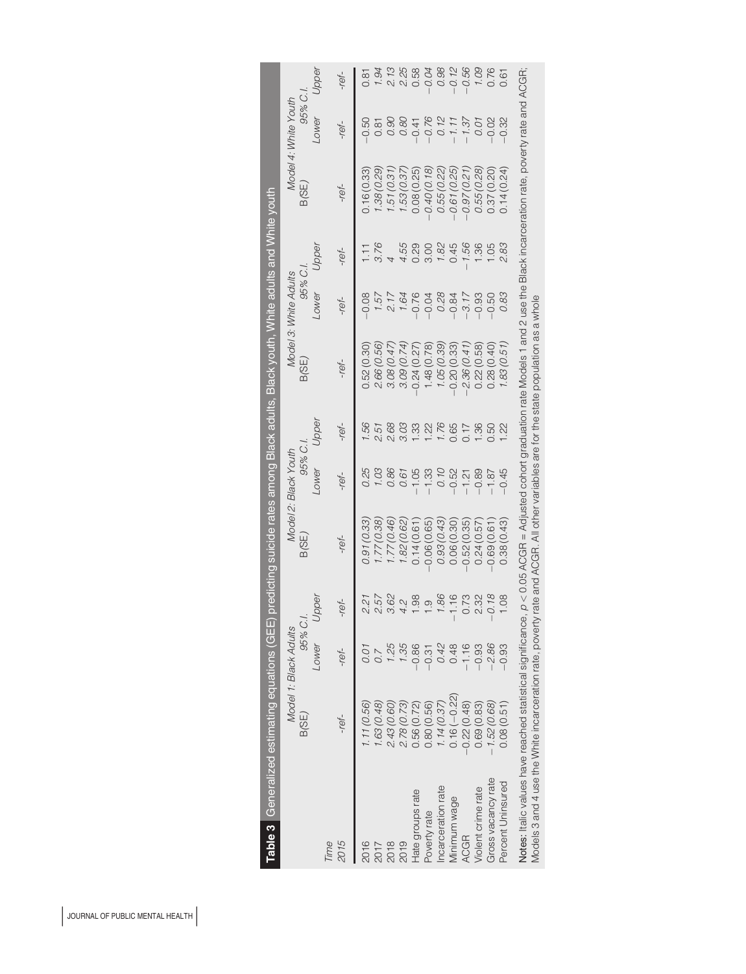<span id="page-5-0"></span>

|                    | Table 3 Generalized estimating equations (GEE) predicting suicide rates among Black adults, Black youth, White adults and White youth                                               |                              |          |               |                                 |       |               |                                  |                |               |                                 |          |
|--------------------|-------------------------------------------------------------------------------------------------------------------------------------------------------------------------------------|------------------------------|----------|---------------|---------------------------------|-------|---------------|----------------------------------|----------------|---------------|---------------------------------|----------|
|                    | B(SE)                                                                                                                                                                               | Model 1: Black Adults<br>95% | ご        | B(SE)         | 95% C.I<br>Model 2: Black Youth |       | B(SE)         | 95% C.,<br>Model 3: White Adults |                | B(SE)         | 95% C.,<br>Model 4: White Youth |          |
|                    |                                                                                                                                                                                     | Lower                        | Upper    |               | Lower                           | Jpper |               | Lower                            | Upper          |               | Lower                           | Upper    |
| Time<br>2015       | $-ref-$                                                                                                                                                                             | -ref-                        | -ref-    | -ref-         | -ref-                           | -ref- | -ref-         | -ref-                            | -ref-          | -ref-         | -ref-                           | -ref-    |
| 2016               | 1, 11 (0.56)                                                                                                                                                                        | 0.01                         | 2.21     | 0.91 (0.33)   | 0.25                            | 99,   | 0.52(0.30)    | 0.08                             | $\overline{E}$ | 1,16(0.33)    | $-0.50$                         | 5<br>0.8 |
| 2017               | 1.63 (0.48)                                                                                                                                                                         |                              | 2.57     | 1.77(0.38)    | 1.03                            | 2.51  | 2.66 (0.56)   | 1.57                             |                | .38(0.29)     | 0.81                            | 1.94     |
| 2018               | 2.43 (0.60)                                                                                                                                                                         |                              | 3.62     | 1.77 (0.46)   | 0.86                            | 2.68  | 3.08 (0.47    | 217                              |                | .51(0.31)     | 0.90                            | 2.13     |
| 2019               | 2.78(0.73)                                                                                                                                                                          | 1.35                         | 4.2      | 1.82 (0.62)   | 0.61                            | 3.03  | 3.09 (0.74    | 1.64                             | 4.55           | 53 (0.37      | 0.80                            | 2.25     |
| Hate groups rate   | 0.56(0.72)                                                                                                                                                                          | $-0.86$                      | 1.98     | 0.14(0.61)    | $-1.05$                         | 1.33  | 0.24(0.27)    | 0.76                             | 0.29           | 0.08(0.25)    | $-0.41$                         | 0.58     |
| Poverty rate       | 0.80(0.56)                                                                                                                                                                          | $-0.31$                      | $\infty$ | 0.06(0.65)    | $-1.33$                         | 1.22  | 1.48 (0.78)   | 0.04                             | 3.00           | $-0.40(0.18)$ | $-0.76$                         | 0.04     |
| Incarceration rate | 1.14(0.37)                                                                                                                                                                          | 0.42                         | 1.86     | 0.93 (0.43)   | 0.10                            | 1.76  | 1.05 (0.39)   | 0.28                             | 1.82           | 0.55 (0.22)   | 0.12                            | 0.98     |
| Minimum wage       | $0.16(-0.22)$                                                                                                                                                                       | 0.48                         | 1.16     | 0.06(0.30)    | $-0.52$                         | 0.65  | $-0.20(0.33)$ | $-0.84$                          | 0.45           | $-0.61(0.25)$ | $-1.11$                         | 0.12     |
| <b>ACGR</b>        | $-0.22(0.48)$                                                                                                                                                                       | $-1.16$                      | 0.73     | 0.52(0.35)    | $-1.21$                         | 0.17  | 2.36(0.41)    | $-3.17$                          | 1.56           | $-0.97(0.21)$ | $-1.37$                         | 0.56     |
| Violent crime rate | 0.69(0.83)                                                                                                                                                                          | $-0.93$                      | 2.32     | 0.24(0.57)    | $-0.89$                         | 1.36  | 0.22(0.58)    | $-0.93$                          | $\frac{36}{ }$ | 0.55 (0.28)   | 0.01                            | 90.1     |
| Gross vacancy rate | $-1.52(0.68)$                                                                                                                                                                       | $-2.86$                      | $-0.18$  | $-0.69(0.61)$ | $-1.87$                         | 0.50  | 0.28(0.40)    | $-0.50$                          | 1.05           | 0.37 (0.20)   | $-0.02$                         | 0.76     |
| Percent Uninsured  | 0.08(0.51)                                                                                                                                                                          | $-0.93$                      | 1.08     | 0.38(0.43)    | $-0.45$                         | 22    | 1.83 (0.51)   | 0.83                             | 2.83           | 0.14(0.24)    | 0.32                            | 0.61     |
|                    | Notes: Italic values have reached statistical significance, p < 0.05 ACGR = Adjusted cohort graduation rate Models 1 and 2 use the Black incarceration rate, poverty rate and ACGR; |                              |          |               |                                 |       |               |                                  |                |               |                                 |          |
|                    | Models 3 and 4 use the White incarceration rate, poverty rate and ACGR. All other variables are for the state population as a whole                                                 |                              |          |               |                                 |       |               |                                  |                |               |                                 |          |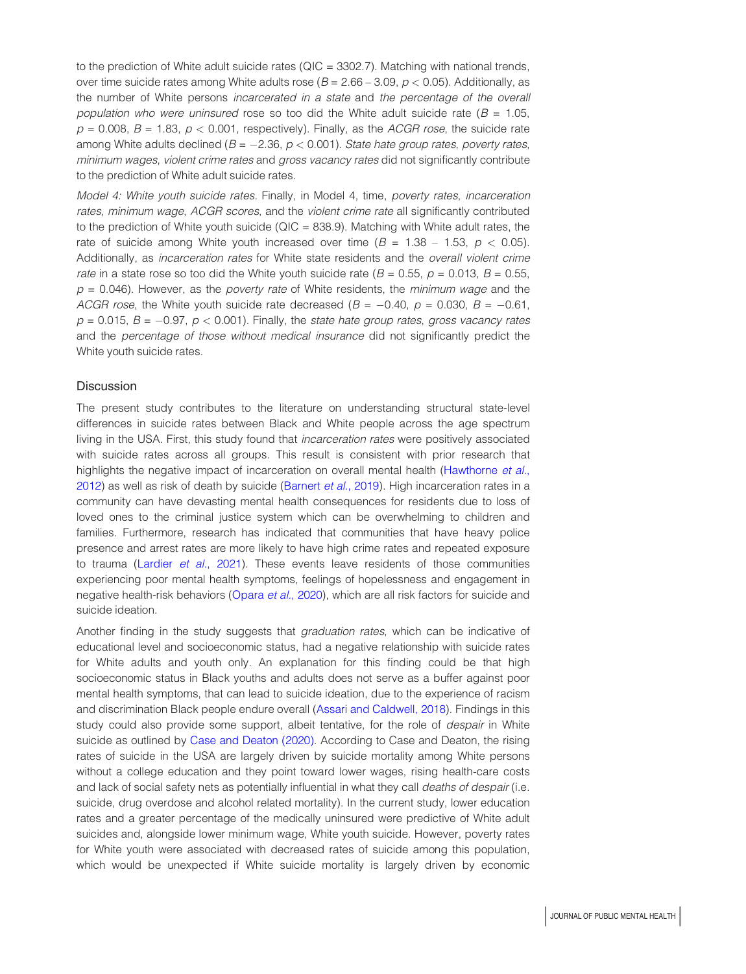to the prediction of White adult suicide rates ( $QIC = 3302.7$ ). Matching with national trends, over time suicide rates among White adults rose ( $B = 2.66 - 3.09$ ,  $p < 0.05$ ). Additionally, as the number of White persons incarcerated in a state and the percentage of the overall population who were uninsured rose so too did the White adult suicide rate ( $B = 1.05$ ,  $p = 0.008$ ,  $B = 1.83$ ,  $p < 0.001$ , respectively). Finally, as the *ACGR rose*, the suicide rate among White adults declined ( $B = -2.36$ ,  $p < 0.001$ ). State hate group rates, poverty rates, minimum wages, violent crime rates and gross vacancy rates did not significantly contribute to the prediction of White adult suicide rates.

Model 4: White youth suicide rates. Finally, in Model 4, time, poverty rates, incarceration rates, minimum wage, ACGR scores, and the violent crime rate all significantly contributed to the prediction of White youth suicide ( $QIC = 838.9$ ). Matching with White adult rates, the rate of suicide among White youth increased over time ( $B = 1.38 - 1.53$ ,  $p < 0.05$ ). Additionally, as *incarceration rates* for White state residents and the *overall violent crime* rate in a state rose so too did the White youth suicide rate ( $B = 0.55$ ,  $p = 0.013$ ,  $B = 0.55$ ,  $p = 0.046$ ). However, as the *poverty rate* of White residents, the *minimum wage* and the ACGR rose, the White youth suicide rate decreased ( $B = -0.40$ ,  $p = 0.030$ ,  $B = -0.61$ ,  $p = 0.015$ ,  $B = -0.97$ ,  $p < 0.001$ ). Finally, the state hate group rates, gross vacancy rates and the percentage of those without medical insurance did not significantly predict the White youth suicide rates.

## **Discussion**

The present study contributes to the literature on understanding structural state-level differences in suicide rates between Black and White people across the age spectrum living in the USA. First, this study found that *incarceration rates* were positively associated with suicide rates across all groups. This result is consistent with prior research that highlights the negative impact of incarceration on overall mental health [\(Hawthorne](#page-10-7) et al., [2012\)](#page-10-7) as well as risk of death by suicide ([Barnert](#page-9-8) et al., 2019). High incarceration rates in a community can have devasting mental health consequences for residents due to loss of loved ones to the criminal justice system which can be overwhelming to children and families. Furthermore, research has indicated that communities that have heavy police presence and arrest rates are more likely to have high crime rates and repeated exposure to trauma ([Lardier](#page-10-8) et al., 2021). These events leave residents of those communities experiencing poor mental health symptoms, feelings of hopelessness and engagement in negative health-risk behaviors [\(Opara](#page-10-9) et al., 2020), which are all risk factors for suicide and suicide ideation.

Another finding in the study suggests that *graduation rates*, which can be indicative of educational level and socioeconomic status, had a negative relationship with suicide rates for White adults and youth only. An explanation for this finding could be that high socioeconomic status in Black youths and adults does not serve as a buffer against poor mental health symptoms, that can lead to suicide ideation, due to the experience of racism and discrimination Black people endure overall ([Assari and Caldwell, 2018\)](#page-9-9). Findings in this study could also provide some support, albeit tentative, for the role of *despair* in White suicide as outlined by [Case and Deaton \(2020\).](#page-9-10) According to Case and Deaton, the rising rates of suicide in the USA are largely driven by suicide mortality among White persons without a college education and they point toward lower wages, rising health-care costs and lack of social safety nets as potentially influential in what they call *deaths of despair* (i.e. suicide, drug overdose and alcohol related mortality). In the current study, lower education rates and a greater percentage of the medically uninsured were predictive of White adult suicides and, alongside lower minimum wage, White youth suicide. However, poverty rates for White youth were associated with decreased rates of suicide among this population, which would be unexpected if White suicide mortality is largely driven by economic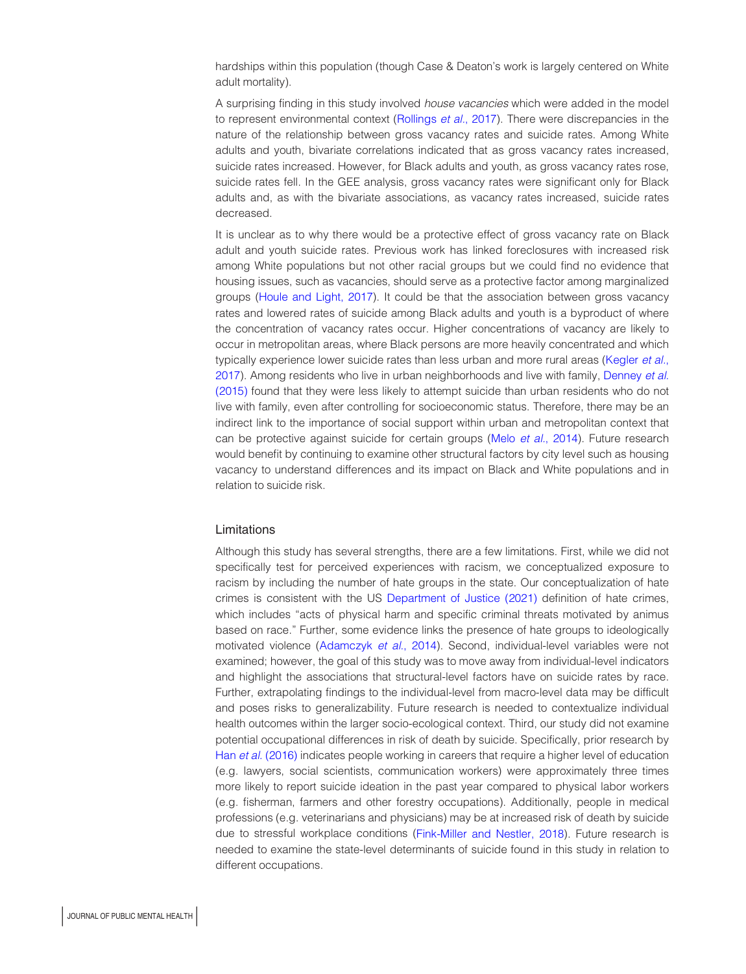hardships within this population (though Case & Deaton's work is largely centered on White adult mortality).

A surprising finding in this study involved house vacancies which were added in the model to represent environmental context [\(Rollings](#page-10-10) et al., 2017). There were discrepancies in the nature of the relationship between gross vacancy rates and suicide rates. Among White adults and youth, bivariate correlations indicated that as gross vacancy rates increased, suicide rates increased. However, for Black adults and youth, as gross vacancy rates rose, suicide rates fell. In the GEE analysis, gross vacancy rates were significant only for Black adults and, as with the bivariate associations, as vacancy rates increased, suicide rates decreased.

It is unclear as to why there would be a protective effect of gross vacancy rate on Black adult and youth suicide rates. Previous work has linked foreclosures with increased risk among White populations but not other racial groups but we could find no evidence that housing issues, such as vacancies, should serve as a protective factor among marginalized groups ([Houle and Light, 2017\)](#page-10-11). It could be that the association between gross vacancy rates and lowered rates of suicide among Black adults and youth is a byproduct of where the concentration of vacancy rates occur. Higher concentrations of vacancy are likely to occur in metropolitan areas, where Black persons are more heavily concentrated and which typically experience lower suicide rates than less urban and more rural areas [\(Kegler](#page-10-12) et al., [2017\)](#page-10-12). Among residents who live in urban neighborhoods and live with family, [Denney](#page-9-11) et al. [\(2015\)](#page-9-11) found that they were less likely to attempt suicide than urban residents who do not live with family, even after controlling for socioeconomic status. Therefore, there may be an indirect link to the importance of social support within urban and metropolitan context that can be protective against suicide for certain groups (Melo et al.[, 2014](#page-10-13)). Future research would benefit by continuing to examine other structural factors by city level such as housing vacancy to understand differences and its impact on Black and White populations and in relation to suicide risk.

# Limitations

Although this study has several strengths, there are a few limitations. First, while we did not specifically test for perceived experiences with racism, we conceptualized exposure to racism by including the number of hate groups in the state. Our conceptualization of hate crimes is consistent with the US [Department of Justice \(2021\)](#page-9-6) definition of hate crimes, which includes "acts of physical harm and specific criminal threats motivated by animus based on race." Further, some evidence links the presence of hate groups to ideologically motivated violence [\(Adamczyk](#page-9-12) et al., 2014). Second, individual-level variables were not examined; however, the goal of this study was to move away from individual-level indicators and highlight the associations that structural-level factors have on suicide rates by race. Further, extrapolating findings to the individual-level from macro-level data may be difficult and poses risks to generalizability. Future research is needed to contextualize individual health outcomes within the larger socio-ecological context. Third, our study did not examine potential occupational differences in risk of death by suicide. Specifically, prior research by Han et al. [\(2016\)](#page-10-14) indicates people working in careers that require a higher level of education (e.g. lawyers, social scientists, communication workers) were approximately three times more likely to report suicide ideation in the past year compared to physical labor workers (e.g. fisherman, farmers and other forestry occupations). Additionally, people in medical professions (e.g. veterinarians and physicians) may be at increased risk of death by suicide due to stressful workplace conditions [\(Fink-Miller and Nestler, 2018](#page-9-13)). Future research is needed to examine the state-level determinants of suicide found in this study in relation to different occupations.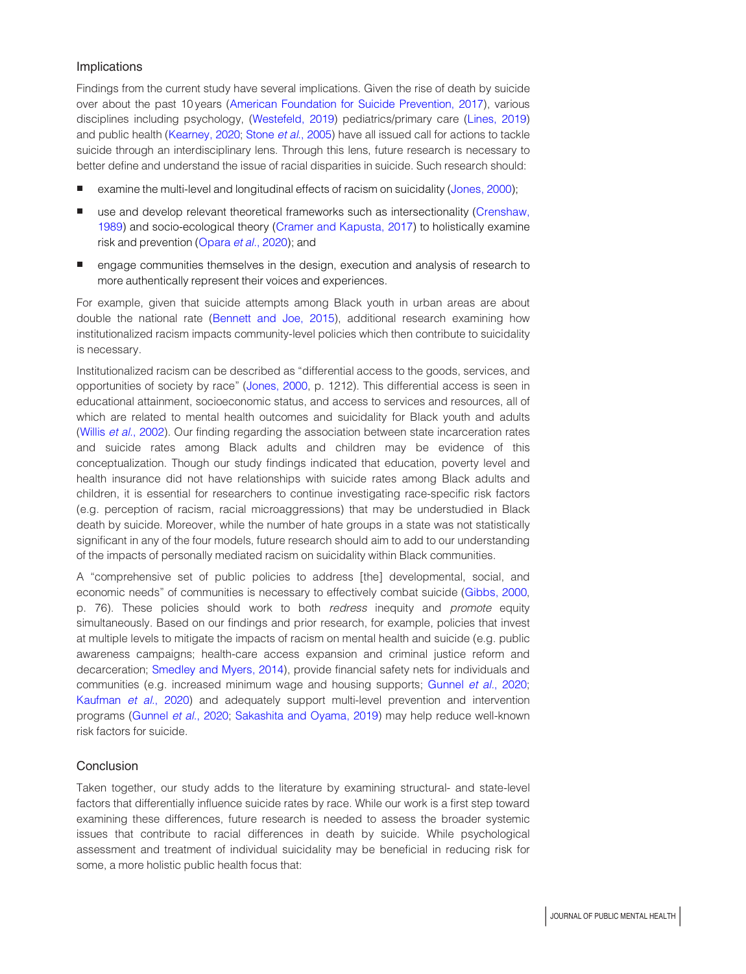# Implications

Findings from the current study have several implications. Given the rise of death by suicide over about the past 10 years [\(American Foundation for Suicide Prevention, 2017\)](#page-9-14), various disciplines including psychology, ([Westefeld, 2019\)](#page-11-11) pediatrics/primary care [\(Lines, 2019\)](#page-10-15) and public health ([Kearney, 2020;](#page-10-16) Stone et al.[, 2005\)](#page-11-12) have all issued call for actions to tackle suicide through an interdisciplinary lens. Through this lens, future research is necessary to better define and understand the issue of racial disparities in suicide. Such research should:

- examine the multi-level and longitudinal effects of racism on suicidality [\(Jones, 2000](#page-10-17));
- use and develop relevant theoretical frameworks such as intersectionality [\(Crenshaw,](#page-9-15) [1989\)](#page-9-15) and socio-ecological theory [\(Cramer and Kapusta, 2017](#page-9-3)) to holistically examine risk and prevention ([Opara](#page-10-9) et al., 2020); and
- **e** engage communities themselves in the design, execution and analysis of research to more authentically represent their voices and experiences.

For example, given that suicide attempts among Black youth in urban areas are about double the national rate ([Bennett and Joe, 2015\)](#page-9-16), additional research examining how institutionalized racism impacts community-level policies which then contribute to suicidality is necessary.

Institutionalized racism can be described as "differential access to the goods, services, and opportunities of society by race" ([Jones, 2000,](#page-10-17) p. 1212). This differential access is seen in educational attainment, socioeconomic status, and access to services and resources, all of which are related to mental health outcomes and suicidality for Black youth and adults (Willis et al.[, 2002\)](#page-11-13). Our finding regarding the association between state incarceration rates and suicide rates among Black adults and children may be evidence of this conceptualization. Though our study findings indicated that education, poverty level and health insurance did not have relationships with suicide rates among Black adults and children, it is essential for researchers to continue investigating race-specific risk factors (e.g. perception of racism, racial microaggressions) that may be understudied in Black death by suicide. Moreover, while the number of hate groups in a state was not statistically significant in any of the four models, future research should aim to add to our understanding of the impacts of personally mediated racism on suicidality within Black communities.

A "comprehensive set of public policies to address [the] developmental, social, and economic needs" of communities is necessary to effectively combat suicide [\(Gibbs, 2000](#page-9-17), p. 76). These policies should work to both redress inequity and promote equity simultaneously. Based on our findings and prior research, for example, policies that invest at multiple levels to mitigate the impacts of racism on mental health and suicide (e.g. public awareness campaigns; health-care access expansion and criminal justice reform and decarceration; [Smedley and Myers, 2014](#page-11-14)), provide financial safety nets for individuals and communities (e.g. increased minimum wage and housing supports; [Gunnel](#page-10-18) et al., 2020; [Kaufman](#page-10-4) et al., 2020) and adequately support multi-level prevention and intervention programs ([Gunnel](#page-10-18) et al., 2020; [Sakashita and Oyama, 2019\)](#page-11-15) may help reduce well-known risk factors for suicide.

# **Conclusion**

Taken together, our study adds to the literature by examining structural- and state-level factors that differentially influence suicide rates by race. While our work is a first step toward examining these differences, future research is needed to assess the broader systemic issues that contribute to racial differences in death by suicide. While psychological assessment and treatment of individual suicidality may be beneficial in reducing risk for some, a more holistic public health focus that: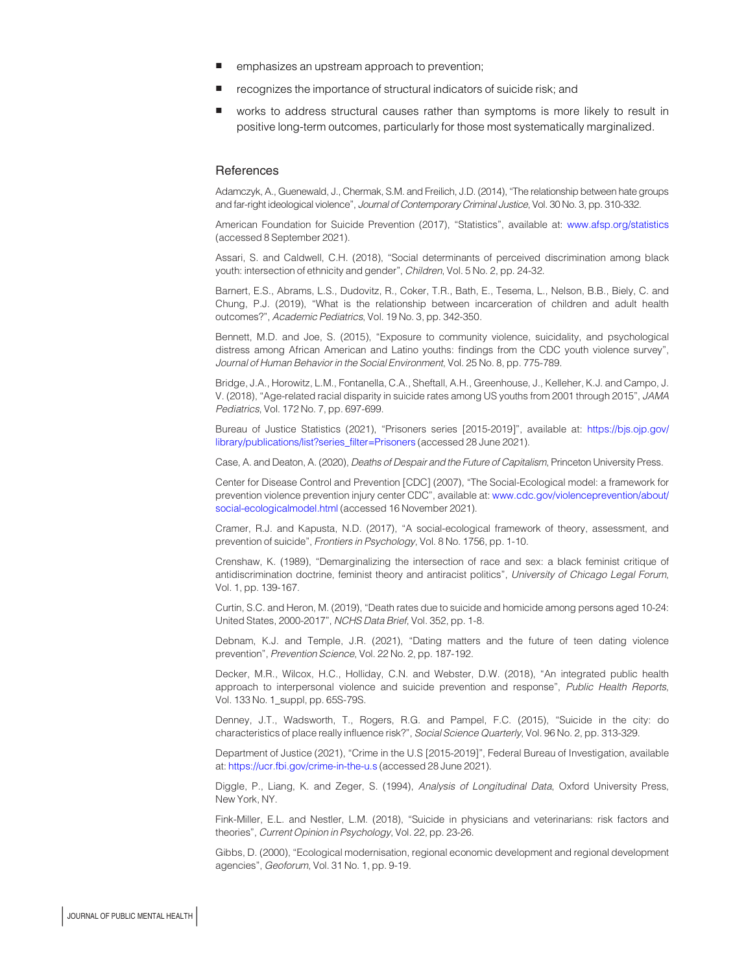- emphasizes an upstream approach to prevention;
- recognizes the importance of structural indicators of suicide risk; and
- works to address structural causes rather than symptoms is more likely to result in positive long-term outcomes, particularly for those most systematically marginalized.

#### **References**

<span id="page-9-12"></span>Adamczyk, A., Guenewald, J., Chermak, S.M. and Freilich, J.D. (2014), "The relationship between hate groups and far-right ideological violence", Journal of Contemporary Criminal Justice, Vol. 30 No. 3, pp. 310-332.

<span id="page-9-14"></span>American Foundation for Suicide Prevention (2017), "Statistics", available at: [www.afsp.org/statistics](http://www.afsp.org/statistics) (accessed 8 September 2021).

<span id="page-9-9"></span>Assari, S. and Caldwell, C.H. (2018), "Social determinants of perceived discrimination among black youth: intersection of ethnicity and gender", Children, Vol. 5 No. 2, pp. 24-32.

<span id="page-9-8"></span>Barnert, E.S., Abrams, L.S., Dudovitz, R., Coker, T.R., Bath, E., Tesema, L., Nelson, B.B., Biely, C. and Chung, P.J. (2019), "What is the relationship between incarceration of children and adult health outcomes?", Academic Pediatrics, Vol. 19 No. 3, pp. 342-350.

<span id="page-9-16"></span>Bennett, M.D. and Joe, S. (2015), "Exposure to community violence, suicidality, and psychological distress among African American and Latino youths: findings from the CDC youth violence survey", Journal of Human Behavior in the Social Environment, Vol. 25 No. 8, pp. 775-789.

<span id="page-9-1"></span>Bridge, J.A., Horowitz, L.M., Fontanella, C.A., Sheftall, A.H., Greenhouse, J., Kelleher, K.J. and Campo, J. V. (2018), "Age-related racial disparity in suicide rates among US youths from 2001 through 2015", JAMA Pediatrics, Vol. 172 No. 7, pp. 697-699.

<span id="page-9-5"></span>Bureau of Justice Statistics (2021), "Prisoners series [2015-2019]", available at: [https://bjs.ojp.gov/](https://bjs.ojp.gov/library/publications/list?series_filter=Prisoners) [library/publications/list?series\\_filter=Prisoners](https://bjs.ojp.gov/library/publications/list?series_filter=Prisoners) (accessed 28 June 2021).

<span id="page-9-10"></span>Case, A. and Deaton, A. (2020), Deaths of Despair and the Future of Capitalism, Princeton University Press.

Center for Disease Control and Prevention [CDC] (2007), "The Social-Ecological model: a framework for prevention violence prevention injury center CDC", available at: [www.cdc.gov/violenceprevention/about/](https://www.cdc.gov/violenceprevention/about/social-ecologicalmodel.html) [social-ecologicalmodel.html](https://www.cdc.gov/violenceprevention/about/social-ecologicalmodel.html) (accessed 16 November 2021).

<span id="page-9-3"></span>Cramer, R.J. and Kapusta, N.D. (2017), "A social-ecological framework of theory, assessment, and prevention of suicide", Frontiers in Psychology, Vol. 8 No. 1756, pp. 1-10.

<span id="page-9-15"></span>Crenshaw, K. (1989), "Demarginalizing the intersection of race and sex: a black feminist critique of antidiscrimination doctrine, feminist theory and antiracist politics", University of Chicago Legal Forum, Vol. 1, pp. 139-167.

<span id="page-9-0"></span>Curtin, S.C. and Heron, M. (2019), "Death rates due to suicide and homicide among persons aged 10-24: United States, 2000-2017", NCHS Data Brief, Vol. 352, pp. 1-8.

<span id="page-9-2"></span>Debnam, K.J. and Temple, J.R. (2021), "Dating matters and the future of teen dating violence prevention", Prevention Science, Vol. 22 No. 2, pp. 187-192.

<span id="page-9-4"></span>Decker, M.R., Wilcox, H.C., Holliday, C.N. and Webster, D.W. (2018), "An integrated public health approach to interpersonal violence and suicide prevention and response", Public Health Reports, Vol. 133 No. 1\_suppl, pp. 65S-79S.

<span id="page-9-11"></span>Denney, J.T., Wadsworth, T., Rogers, R.G. and Pampel, F.C. (2015), "Suicide in the city: do characteristics of place really influence risk?", Social Science Quarterly, Vol. 96 No. 2, pp. 313-329.

<span id="page-9-6"></span>Department of Justice (2021), "Crime in the U.S [2015-2019]", Federal Bureau of Investigation, available at: <https://ucr.fbi.gov/crime-in-the-u.s> (accessed 28 June 2021).

<span id="page-9-7"></span>Diggle, P., Liang, K. and Zeger, S. (1994), Analysis of Longitudinal Data, Oxford University Press, New York, NY.

<span id="page-9-13"></span>Fink-Miller, E.L. and Nestler, L.M. (2018), "Suicide in physicians and veterinarians: risk factors and theories", Current Opinion in Psychology, Vol. 22, pp. 23-26.

<span id="page-9-17"></span>Gibbs, D. (2000), "Ecological modernisation, regional economic development and regional development agencies", Geoforum, Vol. 31 No. 1, pp. 9-19.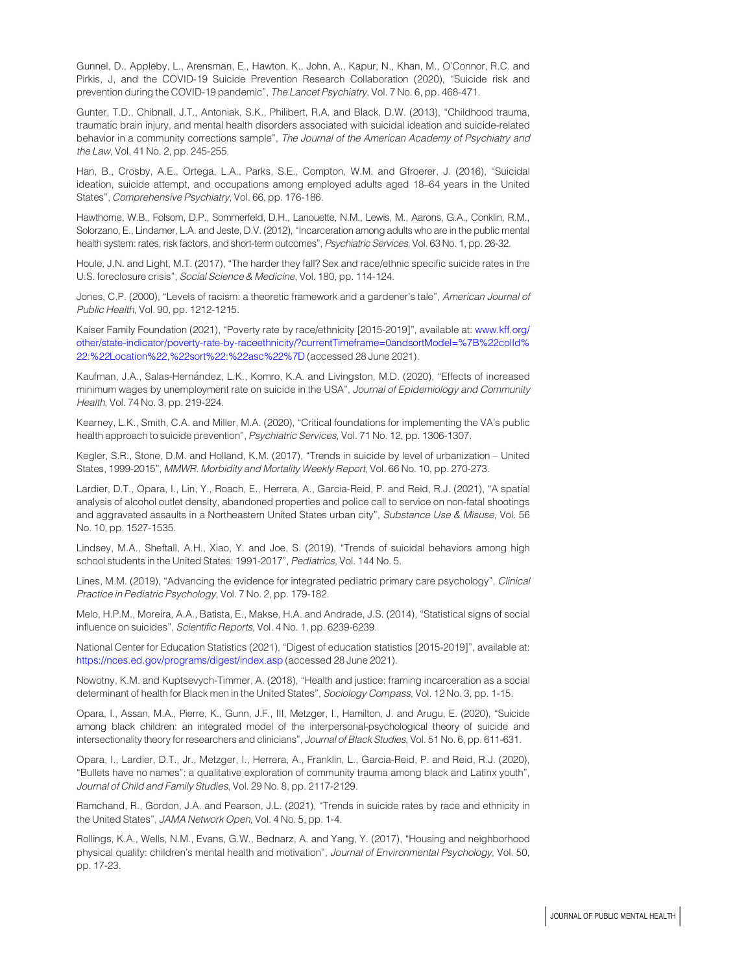<span id="page-10-18"></span>Gunnel, D., Appleby, L., Arensman, E., Hawton, K., John, A., Kapur, N., Khan, M., O'Connor, R.C. and Pirkis, J, and the COVID-19 Suicide Prevention Research Collaboration (2020), "Suicide risk and prevention during the COVID-19 pandemic", The Lancet Psychiatry, Vol. 7 No. 6, pp. 468-471.

<span id="page-10-2"></span>Gunter, T.D., Chibnall, J.T., Antoniak, S.K., Philibert, R.A. and Black, D.W. (2013), "Childhood trauma, traumatic brain injury, and mental health disorders associated with suicidal ideation and suicide-related behavior in a community corrections sample", The Journal of the American Academy of Psychiatry and the Law, Vol. 41 No. 2, pp. 245-255.

<span id="page-10-14"></span>Han, B., Crosby, A.E., Ortega, L.A., Parks, S.E., Compton, W.M. and Gfroerer, J. (2016), "Suicidal ideation, suicide attempt, and occupations among employed adults aged 18–64 years in the United States", Comprehensive Psychiatry, Vol. 66, pp. 176-186.

<span id="page-10-7"></span>Hawthorne, W.B., Folsom, D.P., Sommerfeld, D.H., Lanouette, N.M., Lewis, M., Aarons, G.A., Conklin, R.M., Solorzano, E., Lindamer, L.A. and Jeste, D.V. (2012), "Incarceration among adults who are in the public mental health system: rates, risk factors, and short-term outcomes", Psychiatric Services, Vol. 63 No. 1, pp. 26-32.

<span id="page-10-11"></span>Houle, J.N. and Light, M.T. (2017), "The harder they fall? Sex and race/ethnic specific suicide rates in the U.S. foreclosure crisis", Social Science & Medicine, Vol. 180, pp. 114-124.

<span id="page-10-17"></span>Jones, C.P. (2000), "Levels of racism: a theoretic framework and a gardener's tale", American Journal of Public Health, Vol. 90, pp. 1212-1215.

<span id="page-10-5"></span>Kaiser Family Foundation (2021), "Poverty rate by race/ethnicity [2015-2019]", available at: [www.kff.org/](https://www.kff.org/other/state-indicator/poverty-rate-by-raceethnicity/?currentTimeframe=0&sortModel=%7B%22colId%22:%22Location%22,%22sort%22:%22asc%22%7D) [other/state-indicator/poverty-rate-by-raceethnicity/?currentTimeframe=0andsortModel=%7B%22colId%](https://www.kff.org/other/state-indicator/poverty-rate-by-raceethnicity/?currentTimeframe=0&sortModel=%7B%22colId%22:%22Location%22,%22sort%22:%22asc%22%7D) [22:%22Location%22,%22sort%22:%22asc%22%7D](https://www.kff.org/other/state-indicator/poverty-rate-by-raceethnicity/?currentTimeframe=0&sortModel=%7B%22colId%22:%22Location%22,%22sort%22:%22asc%22%7D) (accessed 28 June 2021).

<span id="page-10-4"></span>Kaufman, J.A., Salas-Hernández, L.K., Komro, K.A. and Livingston, M.D. (2020), "Effects of increased minimum wages by unemployment rate on suicide in the USA", Journal of Epidemiology and Community Health, Vol. 74 No. 3, pp. 219-224.

<span id="page-10-16"></span>Kearney, L.K., Smith, C.A. and Miller, M.A. (2020), "Critical foundations for implementing the VA's public health approach to suicide prevention", Psychiatric Services, Vol. 71 No. 12, pp. 1306-1307.

<span id="page-10-12"></span>Kegler, S.R., Stone, D.M. and Holland, K.M. (2017), "Trends in suicide by level of urbanization – United States, 1999-2015", MMWR. Morbidity and Mortality Weekly Report, Vol. 66 No. 10, pp. 270-273.

<span id="page-10-8"></span>Lardier, D.T., Opara, I., Lin, Y., Roach, E., Herrera, A., Garcia-Reid, P. and Reid, R.J. (2021), "A spatial analysis of alcohol outlet density, abandoned properties and police call to service on non-fatal shootings and aggravated assaults in a Northeastern United States urban city", Substance Use & Misuse, Vol. 56 No. 10, pp. 1527-1535.

<span id="page-10-0"></span>Lindsey, M.A., Sheftall, A.H., Xiao, Y. and Joe, S. (2019), "Trends of suicidal behaviors among high school students in the United States: 1991-2017", Pediatrics, Vol. 144 No. 5.

<span id="page-10-15"></span>Lines, M.M. (2019), "Advancing the evidence for integrated pediatric primary care psychology", Clinical Practice in Pediatric Psychology, Vol. 7 No. 2, pp. 179-182.

<span id="page-10-13"></span>Melo, H.P.M., Moreira, A.A., Batista, E., Makse, H.A. and Andrade, J.S. (2014), "Statistical signs of social influence on suicides", Scientific Reports, Vol. 4 No. 1, pp. 6239-6239.

<span id="page-10-6"></span>National Center for Education Statistics (2021), "Digest of education statistics [2015-2019]", available at: <https://nces.ed.gov/programs/digest/index.asp> (accessed 28 June 2021).

<span id="page-10-3"></span>Nowotny, K.M. and Kuptsevych-Timmer, A. (2018), "Health and justice: framing incarceration as a social determinant of health for Black men in the United States", Sociology Compass, Vol. 12 No. 3, pp. 1-15.

<span id="page-10-9"></span>Opara, I., Assan, M.A., Pierre, K., Gunn, J.F., III, Metzger, I., Hamilton, J. and Arugu, E. (2020), "Suicide among black children: an integrated model of the interpersonal-psychological theory of suicide and intersectionality theory for researchers and clinicians", Journal of Black Studies, Vol. 51 No. 6, pp. 611-631.

Opara, I., Lardier, D.T., Jr., Metzger, I., Herrera, A., Franklin, L., Garcia-Reid, P. and Reid, R.J. (2020), "Bullets have no names": a qualitative exploration of community trauma among black and Latinx youth", Journal of Child and Family Studies, Vol. 29 No. 8, pp. 2117-2129.

<span id="page-10-1"></span>Ramchand, R., Gordon, J.A. and Pearson, J.L. (2021), "Trends in suicide rates by race and ethnicity in the United States", JAMA Network Open, Vol. 4 No. 5, pp. 1-4.

<span id="page-10-10"></span>Rollings, K.A., Wells, N.M., Evans, G.W., Bednarz, A. and Yang, Y. (2017), "Housing and neighborhood physical quality: children's mental health and motivation", Journal of Environmental Psychology, Vol. 50, pp. 17-23.